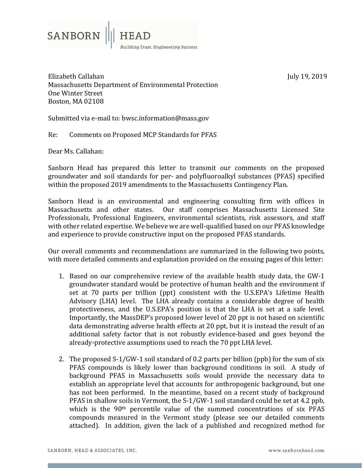

July 19, 2019 

Elizabeth Callahan Massachusetts Department of Environmental Protection One Winter Street Boston, MA 02108

Submitted via e-mail to: bwsc.information@mass.gov

Re: Comments on Proposed MCP Standards for PFAS

Dear Ms. Callahan:

Sanborn Head has prepared this letter to transmit our comments on the proposed groundwater and soil standards for per- and polyfluoroalkyl substances (PFAS) specified within the proposed 2019 amendments to the Massachusetts Contingency Plan.

Sanborn Head is an environmental and engineering consulting firm with offices in Massachusetts and other states. Our staff comprises Massachusetts Licensed Site Professionals, Professional Engineers, environmental scientists, risk assessors, and staff with other related expertise. We believe we are well-qualified based on our PFAS knowledge and experience to provide constructive input on the proposed PFAS standards.

Our overall comments and recommendations are summarized in the following two points, with more detailed comments and explanation provided on the ensuing pages of this letter:

- 1. Based on our comprehensive review of the available health study data, the GW-1 groundwater standard would be protective of human health and the environment if set at 70 parts per trillion (ppt) consistent with the U.S.EPA's Lifetime Health Advisory (LHA) level. The LHA already contains a considerable degree of health protectiveness, and the U.S.EPA's position is that the LHA is set at a safe level. Importantly, the MassDEP's proposed lower level of 20 ppt is not based on scientific data demonstrating adverse health effects at 20 ppt, but it is instead the result of an additional safety factor that is not robustly evidence-based and goes beyond the already-protective assumptions used to reach the 70 ppt LHA level.
- 2. The proposed  $S-1/GW-1$  soil standard of 0.2 parts per billion (ppb) for the sum of six PFAS compounds is likely lower than background conditions in soil. A study of background PFAS in Massachusetts soils would provide the necessary data to establish an appropriate level that accounts for anthropogenic background, but one has not been performed. In the meantime, based on a recent study of background PFAS in shallow soils in Vermont, the  $S-1/GW-1$  soil standard could be set at 4.2 ppb, which is the  $90<sup>th</sup>$  percentile value of the summed concentrations of six PFAS compounds measured in the Vermont study (please see our detailed comments attached). In addition, given the lack of a published and recognized method for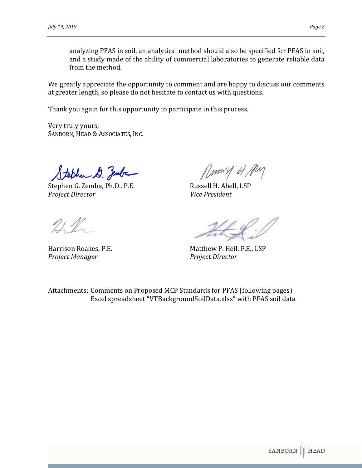analyzing PFAS in soil, an analytical method should also be specified for PFAS in soil, and a study made of the ability of commercial laboratories to generate reliable data from the method.

We greatly appreciate the opportunity to comment and are happy to discuss our comments at greater length, so please do not hesitate to contact us with questions.

Thank you again for this opportunity to participate in this process.

Very truly yours, SANBORN, HEAD & ASSOCIATES, INC.

 $$t_{\ell}/\ell/\ell_{\ell}$$ Stephen G. Zemba, Ph.D., P.E. Russell H. Abell, LSP

*Project Director Vice President* 

*Project Manager Project Director* 

Harrison Roakes, P.E. The Matthew P. Heil, P.E., LSP

Attachments: Comments on Proposed MCP Standards for PFAS (following pages) Excel spreadsheet "VTBackgroundSoilData.xlsx" with PFAS soil data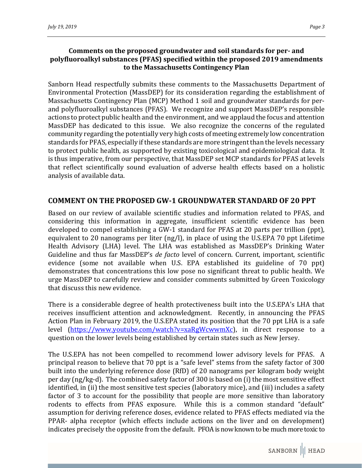## **Comments on the proposed groundwater and soil standards for per‐ and polyfluoroalkyl substances (PFAS) specified within the proposed 2019 amendments to the Massachusetts Contingency Plan**

Sanborn Head respectfully submits these comments to the Massachusetts Department of Environmental Protection (MassDEP) for its consideration regarding the establishment of Massachusetts Contingency Plan (MCP) Method 1 soil and groundwater standards for perand polyfluoroalkyl substances (PFAS). We recognize and support MassDEP's responsible actions to protect public health and the environment, and we applaud the focus and attention MassDEP has dedicated to this issue. We also recognize the concerns of the regulated community regarding the potentially very high costs of meeting extremely low concentration standards for PFAS, especially if these standards are more stringent than the levels necessary to protect public health, as supported by existing toxicological and epidemiological data. It is thus imperative, from our perspective, that MassDEP set MCP standards for PFAS at levels that reflect scientifically sound evaluation of adverse health effects based on a holistic analysis of available data.

## **COMMENT ON THE PROPOSED GW‐1 GROUNDWATER STANDARD OF 20 PPT**

Based on our review of available scientific studies and information related to PFAS, and considering this information in aggregate, insufficient scientific evidence has been developed to compel establishing a GW-1 standard for PFAS at 20 parts per trillion (ppt), equivalent to 20 nanograms per liter  $\frac{q}{l}$ , in place of using the U.S.EPA 70 ppt Lifetime Health Advisory (LHA) level. The LHA was established as MassDEP's Drinking Water Guideline and thus far MassDEP's *de facto* level of concern. Current, important, scientific evidence (some not available when U.S. EPA established its guideline of 70 ppt) demonstrates that concentrations this low pose no significant threat to public health. We urge MassDEP to carefully review and consider comments submitted by Green Toxicology that discuss this new evidence.

There is a considerable degree of health protectiveness built into the U.S.EPA's LHA that receives insufficient attention and acknowledgment. Recently, in announcing the PFAS Action Plan in February 2019, the U.S.EPA stated its position that the 70 ppt LHA is a safe level (https://www.youtube.com/watch?v=xaRgWcwwmXc), in direct response to a question on the lower levels being established by certain states such as New Jersey.

The U.S.EPA has not been compelled to recommend lower advisory levels for PFAS. A principal reason to believe that 70 ppt is a "safe level" stems from the safety factor of 300 built into the underlying reference dose (RfD) of 20 nanograms per kilogram body weight per day (ng/kg-d). The combined safety factor of 300 is based on (i) the most sensitive effect identified, in (ii) the most sensitive test species (laboratory mice), and (iii) includes a safety factor of 3 to account for the possibility that people are more sensitive than laboratory rodents to effects from PFAS exposure. While this is a common standard "default" assumption for deriving reference doses, evidence related to PFAS effects mediated via the PPAR- alpha receptor (which effects include actions on the liver and on development) indicates precisely the opposite from the default. PFOA is now known to be much more toxic to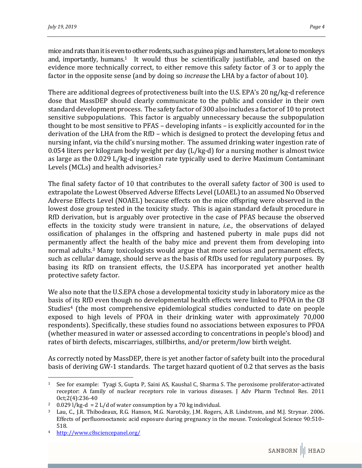mice and rats than it is even to other rodents, such as guinea pigs and hamsters, let alone to monkeys and, importantly, humans.<sup>1</sup> It would thus be scientifically justifiable, and based on the evidence more technically correct, to either remove this safety factor of 3 or to apply the factor in the opposite sense (and by doing so *increase* the LHA by a factor of about 10).

There are additional degrees of protectiveness built into the U.S. EPA's 20 ng/kg-d reference dose that MassDEP should clearly communicate to the public and consider in their own standard development process. The safety factor of 300 also includes a factor of 10 to protect sensitive subpopulations. This factor is arguably unnecessary because the subpopulation thought to be most sensitive to  $PFAST - developing$  infants  $-$  is explicitly accounted for in the derivation of the LHA from the RfD – which is designed to protect the developing fetus and nursing infant, via the child's nursing mother. The assumed drinking water ingestion rate of  $0.054$  liters per kilogram body weight per day (L/kg-d) for a nursing mother is almost twice as large as the 0.029 L/kg-d ingestion rate typically used to derive Maximum Contaminant Levels (MCLs) and health advisories.<sup>2</sup>

The final safety factor of 10 that contributes to the overall safety factor of 300 is used to extrapolate the Lowest Observed Adverse Effects Level (LOAEL) to an assumed No Observed Adverse Effects Level (NOAEL) because effects on the mice offspring were observed in the lowest dose group tested in the toxicity study. This is again standard default procedure in RfD derivation, but is arguably over protective in the case of PFAS because the observed effects in the toxicity study were transient in nature, *i.e.*, the observations of delayed ossification of phalanges in the offspring and hastened puberty in male pups did not permanently affect the health of the baby mice and prevent them from developing into normal adults.<sup>3</sup> Many toxicologists would argue that more serious and permanent effects, such as cellular damage, should serve as the basis of RfDs used for regulatory purposes. By basing its RfD on transient effects, the U.S.EPA has incorporated yet another health protective safety factor.

We also note that the U.S.EPA chose a developmental toxicity study in laboratory mice as the basis of its RfD even though no developmental health effects were linked to PFOA in the C8 Studies<sup>4</sup> (the most comprehensive epidemiological studies conducted to date on people exposed to high levels of PFOA in their drinking water with approximately 70,000 respondents). Specifically, these studies found no associations between exposures to PFOA (whether measured in water or assessed according to concentrations in people's blood) and rates of birth defects, miscarriages, stillbirths, and/or preterm/low birth weight.

As correctly noted by MassDEP, there is yet another factor of safety built into the procedural basis of deriving GW-1 standards. The target hazard quotient of 0.2 that serves as the basis

 

 $1$  See for example: Tyagi S, Gupta P, Saini AS, Kaushal C, Sharma S. The peroxisome proliferator-activated receptor: A family of nuclear receptors role in various diseases. J Adv Pharm Technol Res. 2011 Oct;2(4):236‐40 

<sup>&</sup>lt;sup>2</sup> 0.029 l/kg-d = 2 L/d of water consumption by a 70 kg individual.

Lau, C., J.R. Thibodeaux, R.G. Hanson, M.G. Narotsky, J.M. Rogers, A.B. Lindstrom, and M.J. Strynar. 2006. Effects of perfluorooctanoic acid exposure during pregnancy in the mouse. Toxicological Science 90:510– 518. 

http://www.c8sciencepanel.org/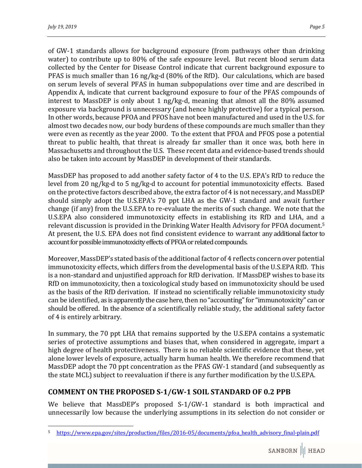of GW-1 standards allows for background exposure (from pathways other than drinking water) to contribute up to 80% of the safe exposure level. But recent blood serum data collected by the Center for Disease Control indicate that current background exposure to PFAS is much smaller than 16 ng/kg-d  $(80\%$  of the RfD). Our calculations, which are based on serum levels of several PFAS in human subpopulations over time and are described in Appendix A, indicate that current background exposure to four of the PFAS compounds of interest to MassDEP is only about 1 ng/kg-d, meaning that almost all the  $80\%$  assumed exposure via background is unnecessary (and hence highly protective) for a typical person. In other words, because PFOA and PFOS have not been manufactured and used in the U.S. for almost two decades now, our body burdens of these compounds are much smaller than they were even as recently as the year 2000. To the extent that PFOA and PFOS pose a potential threat to public health, that threat is already far smaller than it once was, both here in Massachusetts and throughout the U.S. These recent data and evidence-based trends should also be taken into account by MassDEP in development of their standards.

MassDEP has proposed to add another safety factor of 4 to the U.S. EPA's RfD to reduce the level from 20 ng/kg-d to 5 ng/kg-d to account for potential immunotoxicity effects. Based on the protective factors described above, the extra factor of 4 is not necessary, and MassDEP should simply adopt the U.S.EPA's  $70$  ppt LHA as the GW-1 standard and await further change  $(if \text{ any})$  from the U.S.EPA to re-evaluate the merits of such change. We note that the U.S.EPA also considered immunotoxicity effects in establishing its RfD and LHA, and a relevant discussion is provided in the Drinking Water Health Advisory for PFOA document.<sup>5</sup> At present, the U.S. EPA does not find consistent evidence to warrant any additional factor to account for possible immunotoxicity effects of PFOA or related compounds.

Moreover, MassDEP's stated basis of the additional factor of 4 reflects concern over potential immunotoxicity effects, which differs from the developmental basis of the U.S.EPA RfD. This is a non-standard and unjustified approach for RfD derivation. If MassDEP wishes to base its RfD on immunotoxicity, then a toxicological study based on immunotoxicity should be used as the basis of the RfD derivation. If instead no scientifically reliable immunotoxicity study can be identified, as is apparently the case here, then no "accounting" for "immunotoxicity" can or should be offered. In the absence of a scientifically reliable study, the additional safety factor of 4 is entirely arbitrary.

In summary, the 70 ppt LHA that remains supported by the U.S.EPA contains a systematic series of protective assumptions and biases that, when considered in aggregate, impart a high degree of health protectiveness. There is no reliable scientific evidence that these, yet alone lower levels of exposure, actually harm human health. We therefore recommend that MassDEP adopt the 70 ppt concentration as the PFAS GW-1 standard (and subsequently as the state MCL) subject to reevaluation if there is any further modification by the U.S.EPA.

# **COMMENT ON THE PROPOSED S‐1/GW‐1 SOIL STANDARD OF 0.2 PPB**

 

We believe that MassDEP's proposed  $S-1/GW-1$  standard is both impractical and unnecessarily low because the underlying assumptions in its selection do not consider or

<sup>5</sup> https://www.epa.gov/sites/production/files/2016-05/documents/pfoa\_health\_advisory\_final-plain.pdf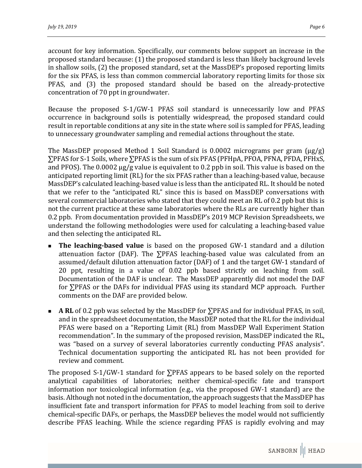account for key information. Specifically, our comments below support an increase in the proposed standard because: (1) the proposed standard is less than likely background levels in shallow soils,  $(2)$  the proposed standard, set at the MassDEP's proposed reporting limits for the six PFAS, is less than common commercial laboratory reporting limits for those six PFAS, and (3) the proposed standard should be based on the already-protective concentration of 70 ppt in groundwater.

Because the proposed  $S-1/GW-1$  PFAS soil standard is unnecessarily low and PFAS occurrence in background soils is potentially widespread, the proposed standard could result in reportable conditions at any site in the state where soil is sampled for PFAS, leading to unnecessary groundwater sampling and remedial actions throughout the state.

The MassDEP proposed Method 1 Soil Standard is 0.0002 micrograms per gram  $\lceil \mu g/g \rceil$ ∑PFAS for S-1 Soils, where ∑PFAS is the sum of six PFAS (PFHpA, PFOA, PFNA, PFDA, PFHxS, and PFOS). The  $0.0002 \mu g/g$  value is equivalent to 0.2 ppb in soil. This value is based on the anticipated reporting limit (RL) for the six PFAS rather than a leaching-based value, because MassDEP's calculated leaching-based value is less than the anticipated RL. It should be noted that we refer to the "anticipated RL" since this is based on MassDEP conversations with several commercial laboratories who stated that they could meet an RL of 0.2 ppb but this is not the current practice at these same laboratories where the RLs are currently higher than 0.2 ppb. From documentation provided in MassDEP's 2019 MCP Revision Spreadsheets, we understand the following methodologies were used for calculating a leaching-based value and then selecting the anticipated RL.

- The leaching-based value is based on the proposed GW-1 standard and a dilution attenuation factor (DAF). The  $\Sigma$ PFAS leaching-based value was calculated from an assumed/default dilution attenuation factor (DAF) of 1 and the target GW-1 standard of 20 ppt, resulting in a value of 0.02 ppb based strictly on leaching from soil. Documentation of the DAF is unclear. The MassDEP apparently did not model the DAF for ∑PFAS or the DAFs for individual PFAS using its standard MCP approach. Further comments on the DAF are provided below.
- A RL of 0.2 ppb was selected by the MassDEP for ∑PFAS and for individual PFAS, in soil, and in the spreadsheet documentation, the MassDEP noted that the RL for the individual PFAS were based on a "Reporting Limit (RL) from MassDEP Wall Experiment Station recommendation". In the summary of the proposed revision, MassDEP indicated the RL, was "based on a survey of several laboratories currently conducting PFAS analysis". Technical documentation supporting the anticipated RL has not been provided for review and comment.

The proposed S-1/GW-1 standard for  $\Sigma$ PFAS appears to be based solely on the reported analytical capabilities of laboratories; neither chemical-specific fate and transport information nor toxicological information (e.g., via the proposed GW-1 standard) are the basis. Although not noted in the documentation, the approach suggests that the MassDEP has insufficient fate and transport information for PFAS to model leaching from soil to derive chemical-specific DAFs, or perhaps, the MassDEP believes the model would not sufficiently describe PFAS leaching. While the science regarding PFAS is rapidly evolving and may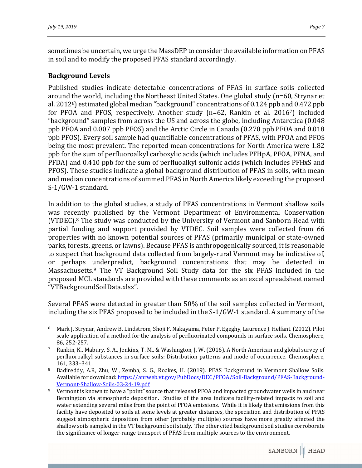sometimes be uncertain, we urge the MassDEP to consider the available information on PFAS in soil and to modify the proposed PFAS standard accordingly.

#### **Background Levels**

Published studies indicate detectable concentrations of PFAS in surface soils collected around the world, including the Northeast United States. One global study  $(n=60, \text{Strynar et } )$ al. 2012<sup>6</sup>) estimated global median "background" concentrations of 0.124 ppb and 0.472 ppb for PFOA and PFOS, respectively. Another study  $(n=62, Rankin$  et al. 2016<sup>7</sup>) included "background" samples from across the US and across the globe, including Antarctica (0.048) ppb PFOA and 0.007 ppb PFOS) and the Arctic Circle in Canada (0.270 ppb PFOA and 0.018 ppb PFOS). Every soil sample had quantifiable concentrations of PFAS, with PFOA and PFOS being the most prevalent. The reported mean concentrations for North America were 1.82 ppb for the sum of perfluoroalkyl carboxylic acids (which includes PFHpA, PFOA, PFNA, and PFDA) and 0.410 ppb for the sum of perfluoalkyl sulfonic acids (which includes PFHxS and PFOS). These studies indicate a global background distribution of PFAS in soils, with mean and median concentrations of summed PFAS in North America likely exceeding the proposed S-1/GW-1 standard.

In addition to the global studies, a study of PFAS concentrations in Vermont shallow soils was recently published by the Vermont Department of Environmental Conservation (VTDEC). $8$  The study was conducted by the University of Vermont and Sanborn Head with partial funding and support provided by VTDEC. Soil samples were collected from 66 properties with no known potential sources of PFAS (primarily municipal or state-owned parks, forests, greens, or lawns). Because PFAS is anthropogenically sourced, it is reasonable to suspect that background data collected from largely-rural Vermont may be indicative of, or perhaps underpredict, background concentrations that may be detected in Massachusetts.<sup>9</sup> The VT Background Soil Study data for the six PFAS included in the proposed MCL standards are provided with these comments as an excel spreadsheet named "VTBackgroundSoilData.xlsx". 

Several PFAS were detected in greater than 50% of the soil samples collected in Vermont, including the six PFAS proposed to be included in the  $S-1/GW-1$  standard. A summary of the

  $6$  Mark J. Strynar, Andrew B. Lindstrom, Shoji F. Nakayama, Peter P. Egeghy, Laurence J. Helfant. (2012). Pilot scale application of a method for the analysis of perfluorinated compounds in surface soils. Chemosphere, 86, 252‐257. 

<sup>&</sup>lt;sup>7</sup> Rankin, K., Mabury, S. A., Jenkins, T. M., & Washington, J. W. (2016). A North American and global survey of perfluoroalkyl substances in surface soils: Distribution patterns and mode of occurrence. Chemosphere, 161, 333–341. 

Badireddy, A.R, Zhu, W., Zemba, S. G., Roakes, H. (2019). PFAS Background in Vermont Shallow Soils. Available for download: https://anrweb.vt.gov/PubDocs/DEC/PFOA/Soil-Background/PFAS-Background-Vermont‐Shallow‐Soils‐03‐24‐19.pdf 

<sup>&</sup>lt;sup>9</sup> Vermont is known to have a "point" source that released PFOA and impacted groundwater wells in and near Bennington via atmospheric deposition. Studies of the area indicate facility-related impacts to soil and water extending several miles from the point of PFOA emissions. While it is likely that emissions from this facility have deposited to soils at some levels at greater distances, the speciation and distribution of PFAS suggest atmospheric deposition from other (probably multiple) sources have more greatly affected the shallow soils sampled in the VT background soil study. The other cited background soil studies corroborate the significance of longer-range transport of PFAS from multiple sources to the environment.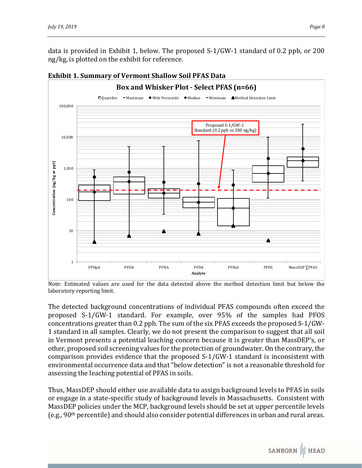data is provided in Exhibit 1, below. The proposed  $S-1/GW-1$  standard of 0.2 ppb, or 200 ng/kg, is plotted on the exhibit for reference.



#### **Exhibit 1. Summary of Vermont Shallow Soil PFAS Data**

Note: Estimated values are used for the data detected above the method detection limit but below the laboratory reporting limit.

The detected background concentrations of individual PFAS compounds often exceed the proposed S-1/GW-1 standard. For example, over 95% of the samples had PFOS concentrations greater than  $0.2$  ppb. The sum of the six PFAS exceeds the proposed S-1/GW-1 standard in all samples. Clearly, we do not present the comparison to suggest that all soil in Vermont presents a potential leaching concern because it is greater than MassDEP's, or other, proposed soil screening values for the protection of groundwater. On the contrary, the comparison provides evidence that the proposed  $S-1/GW-1$  standard is inconsistent with environmental occurrence data and that "below detection" is not a reasonable threshold for assessing the leaching potential of PFAS in soils.

Thus, MassDEP should either use available data to assign background levels to PFAS in soils or engage in a state-specific study of background levels in Massachusetts. Consistent with MassDEP policies under the MCP, background levels should be set at upper percentile levels (e.g.,  $90<sup>th</sup>$  percentile) and should also consider potential differences in urban and rural areas.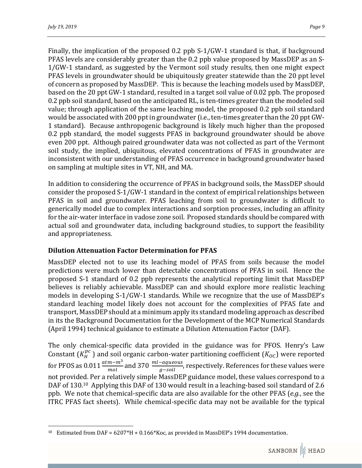Finally, the implication of the proposed  $0.2$  ppb S-1/GW-1 standard is that, if background PFAS levels are considerably greater than the 0.2 ppb value proposed by MassDEP as an S- $1/GW-1$  standard, as suggested by the Vermont soil study results, then one might expect PFAS levels in groundwater should be ubiquitously greater statewide than the 20 ppt level of concern as proposed by MassDEP. This is because the leaching models used by MassDEP, based on the 20 ppt GW-1 standard, resulted in a target soil value of 0.02 ppb. The proposed 0.2 ppb soil standard, based on the anticipated RL, is ten-times greater than the modeled soil value; through application of the same leaching model, the proposed 0.2 ppb soil standard would be associated with 200 ppt in groundwater (i.e., ten-times greater than the 20 ppt GW-1 standard). Because anthropogenic background is likely much higher than the proposed 0.2 ppb standard, the model suggests PFAS in background groundwater should be above even 200 ppt. Although paired groundwater data was not collected as part of the Vermont soil study, the implied, ubiquitous, elevated concentrations of PFAS in groundwater are inconsistent with our understanding of PFAS occurrence in background groundwater based on sampling at multiple sites in VT, NH, and MA.

In addition to considering the occurrence of PFAS in background soils, the MassDEP should consider the proposed  $S-1/GW-1$  standard in the context of empirical relationships between PFAS in soil and groundwater. PFAS leaching from soil to groundwater is difficult to generically model due to complex interactions and sorption processes, including an affinity for the air-water interface in vadose zone soil. Proposed standards should be compared with actual soil and groundwater data, including background studies, to support the feasibility and appropriateness.

## **Dilution Attenuation Factor Determination for PFAS**

 

MassDEP elected not to use its leaching model of PFAS from soils because the model predictions were much lower than detectable concentrations of PFAS in soil. Hence the proposed S-1 standard of 0.2 ppb represents the analytical reporting limit that MassDEP believes is reliably achievable. MassDEP can and should explore more realistic leaching models in developing S-1/GW-1 standards. While we recognize that the use of MassDEP's standard leaching model likely does not account for the complexities of PFAS fate and transport, MassDEP should at a minimum apply its standard modeling approach as described in its the Background Documentation for the Development of the MCP Numerical Standards (April 1994) technical guidance to estimate a Dilution Attenuation Factor (DAF).

The only chemical-specific data provided in the guidance was for PFOS. Henry's Law Constant  $(K_H^{pc})$  and soil organic carbon-water partitioning coefficient  $(K_{OC})$  were reported for PFOS as 0.011  $\frac{atm-m^3}{mol}$  and 370  $\frac{ml-aqueous}{g-soil}$ , respectively. References for these values were not provided. Per a relatively simple MassDEP guidance model, these values correspond to a DAF of 130.<sup>10</sup> Applying this DAF of 130 would result in a leaching-based soil standard of 2.6 ppb. We note that chemical-specific data are also available for the other PFAS (*e.g.*, see the ITRC PFAS fact sheets). While chemical-specific data may not be available for the typical

<sup>&</sup>lt;sup>10</sup> Estimated from DAF =  $6207*H + 0.166*K$  as provided in MassDEP's 1994 documentation.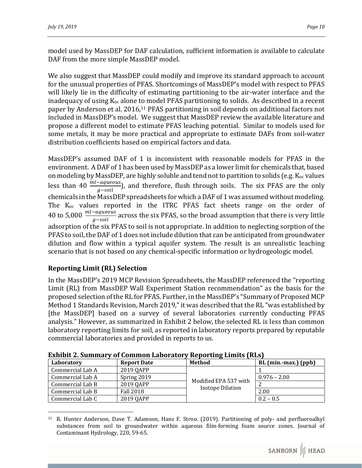model used by MassDEP for DAF calculation, sufficient information is available to calculate DAF from the more simple MassDEP model.

We also suggest that MassDEP could modify and improve its standard approach to account for the unusual properties of PFAS. Shortcomings of MassDEP's model with respect to PFAS will likely lie in the difficulty of estimating partitioning to the air-water interface and the inadequacy of using  $K_{\text{oc}}$  alone to model PFAS partitioning to solids. As described in a recent paper by Anderson et al. 2016,<sup>11</sup> PFAS partitioning in soil depends on additional factors not included in MassDEP's model. We suggest that MassDEP review the available literature and propose a different model to estimate PFAS leaching potential. Similar to models used for some metals, it may be more practical and appropriate to estimate DAFs from soil-water distribution coefficients based on empirical factors and data.

MassDEP's assumed DAF of 1 is inconsistent with reasonable models for PFAS in the environment. A DAF of 1 has been used by MassDEP as a lower limit for chemicals that, based on modeling by MassDEP, are highly soluble and tend not to partition to solids (e.g.  $K_{oc}$  values less than 40  $\frac{ml-aqueous}{g-soli}$ ), and therefore, flush through soils. The six PFAS are the only chemicals in the MassDEP spreadsheets for which a DAF of 1 was assumed without modeling. The  $K_{oc}$  values reported in the ITRC PFAS fact sheets range on the order of 40 to 5,000  $\frac{ml-aqueous}{g-soil}$  across the six PFAS, so the broad assumption that there is very little adsorption of the six PFAS to soil is not appropriate. In addition to neglecting sorption of the PFAS to soil, the DAF of 1 does not include dilution that can be anticipated from groundwater dilution and flow within a typical aquifer system. The result is an unrealistic leaching scenario that is not based on any chemical-specific information or hydrogeologic model.

## **Reporting Limit (RL) Selection**

In the MassDEP's 2019 MCP Revision Spreadsheets, the MassDEP referenced the "reporting Limit (RL) from MassDEP Wall Experiment Station recommendation" as the basis for the proposed selection of the RL for PFAS. Further, in the MassDEP's "Summary of Proposed MCP Method 1 Standards Revision, March 2019," it was described that the RL "was established by [the MassDEP] based on a survey of several laboratories currently conducting PFAS analysis." However, as summarized in Exhibit 2 below, the selected RL is less than common laboratory reporting limits for soil, as reported in laboratory reports prepared by reputable commercial laboratories and provided in reports to us.

| Laboratory       | <b>Report Date</b> | <b>Method</b>           | RL (min.-max.) (ppb) |  |  |  |
|------------------|--------------------|-------------------------|----------------------|--|--|--|
| Commercial Lab A | 2019 QAPP          |                         |                      |  |  |  |
| Commercial Lab A | Spring 2019        | Modified EPA 537 with   | $0.976 - 2.00$       |  |  |  |
| Commercial Lab B | 2019 OAPP          |                         |                      |  |  |  |
| Commercial Lab B | <b>Fall 2018</b>   | <b>Isotope Dilution</b> | 2.00                 |  |  |  |
| Commercial Lab C | 2019 QAPP          |                         | $0.2 - 0.5$          |  |  |  |

**Exhibit 2. Summary of Common Laboratory Reporting Limits (RLs)**

 <sup>11</sup> R. Hunter Anderson, Dave T. Adamson, Hans F. Stroo. (2019). Partitioning of poly- and perfluoroalkyl substances from soil to groundwater within aqueous film-forming foam source zones. Journal of Contaminant Hydrology, 220, 59-65.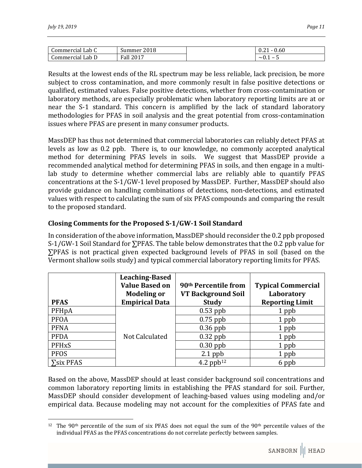| Commercial          | 2018                                      | <b>0.60</b>              |
|---------------------|-------------------------------------------|--------------------------|
| Lab C               | Summer                                    | v.∠                      |
| Lab D<br>Commercial | $\cdot$ ll 201<br>$\blacksquare$<br>Hall. | -<br>$\sim$ $\cdot$<br>- |

Results at the lowest ends of the RL spectrum may be less reliable, lack precision, be more subject to cross contamination, and more commonly result in false positive detections or qualified, estimated values. False positive detections, whether from cross-contamination or laboratory methods, are especially problematic when laboratory reporting limits are at or near the S-1 standard. This concern is amplified by the lack of standard laboratory methodologies for PFAS in soil analysis and the great potential from cross-contamination issues where PFAS are present in many consumer products.

MassDEP has thus not determined that commercial laboratories can reliably detect PFAS at levels as low as 0.2 ppb. There is, to our knowledge, no commonly accepted analytical method for determining PFAS levels in soils. We suggest that MassDEP provide a recommended analytical method for determining PFAS in soils, and then engage in a multilab study to determine whether commercial labs are reliably able to quantify PFAS concentrations at the S-1/GW-1 level proposed by MassDEP. Further, MassDEP should also provide guidance on handling combinations of detections, non-detections, and estimated values with respect to calculating the sum of six PFAS compounds and comparing the result to the proposed standard.

#### **Closing Comments for the Proposed S‐1/GW‐1 Soil Standard**

 

In consideration of the above information, MassDEP should reconsider the  $0.2$  ppb proposed S-1/GW-1 Soil Standard for  $\Sigma$ PFAS. The table below demonstrates that the 0.2 ppb value for  $\Sigma$ PFAS is not practical given expected background levels of PFAS in soil (based on the Vermont shallow soils study) and typical commercial laboratory reporting limits for PFAS.

| <b>PFAS</b>     | <b>Leaching-Based</b><br><b>Value Based on</b><br><b>Modeling or</b><br><b>Empirical Data</b> | 90 <sup>th</sup> Percentile from<br>VT Background Soil<br><b>Study</b> | <b>Typical Commercial</b><br>Laboratory<br><b>Reporting Limit</b> |
|-----------------|-----------------------------------------------------------------------------------------------|------------------------------------------------------------------------|-------------------------------------------------------------------|
| PFHpA           |                                                                                               | $0.53$ ppb                                                             | 1 ppb                                                             |
| <b>PFOA</b>     |                                                                                               | $0.75$ ppb                                                             | 1 ppb                                                             |
| <b>PFNA</b>     |                                                                                               | $0.36$ ppb                                                             | 1 ppb                                                             |
| <b>PFDA</b>     | Not Calculated                                                                                | $0.32$ ppb                                                             | 1 ppb                                                             |
| <b>PFHxS</b>    |                                                                                               | $0.30$ ppb                                                             | 1 ppb                                                             |
| <b>PFOS</b>     |                                                                                               | $2.1$ ppb                                                              | 1 ppb                                                             |
| $\sum$ six PFAS |                                                                                               | 4.2 pp $b^{12}$                                                        | 6 ppb                                                             |

Based on the above, MassDEP should at least consider background soil concentrations and common laboratory reporting limits in establishing the PFAS standard for soil. Further, MassDEP should consider development of leaching-based values using modeling and/or empirical data. Because modeling may not account for the complexities of PFAS fate and

<sup>&</sup>lt;sup>12</sup> The 90<sup>th</sup> percentile of the sum of six PFAS does not equal the sum of the 90<sup>th</sup> percentile values of the individual PFAS as the PFAS concentrations do not correlate perfectly between samples.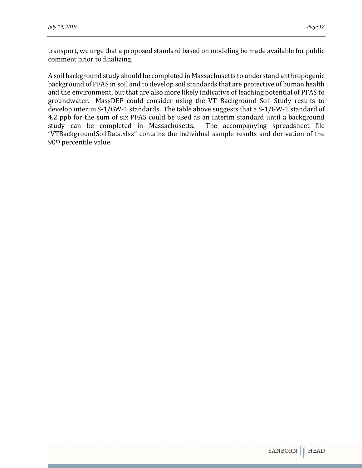transport, we urge that a proposed standard based on modeling be made available for public comment prior to finalizing.

A soil background study should be completed in Massachusetts to understand anthropogenic background of PFAS in soil and to develop soil standards that are protective of human health and the environment, but that are also more likely indicative of leaching potential of PFAS to groundwater. MassDEP could consider using the VT Background Soil Study results to develop interim S-1/GW-1 standards. The table above suggests that a S-1/GW-1 standard of 4.2 ppb for the sum of six PFAS could be used as an interim standard until a background study can be completed in Massachusetts. The accompanying spreadsheet file "VTBackgroundSoilData.xlsx" contains the individual sample results and derivation of the 90<sup>th</sup> percentile value.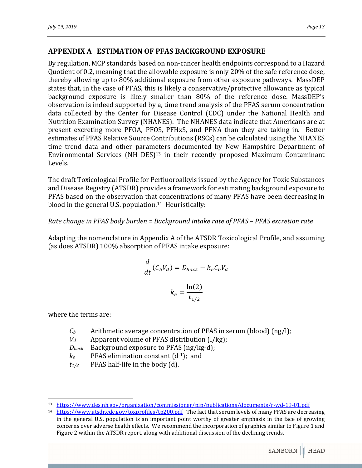# **APPENDIX A ESTIMATION OF PFAS BACKGROUND EXPOSURE**

By regulation, MCP standards based on non-cancer health endpoints correspond to a Hazard Quotient of 0.2, meaning that the allowable exposure is only 20% of the safe reference dose, thereby allowing up to 80% additional exposure from other exposure pathways. MassDEP states that, in the case of PFAS, this is likely a conservative/protective allowance as typical background exposure is likely smaller than 80% of the reference dose. MassDEP's observation is indeed supported by a, time trend analysis of the PFAS serum concentration data collected by the Center for Disease Control (CDC) under the National Health and Nutrition Examination Survey (NHANES). The NHANES data indicate that Americans are at present excreting more PFOA, PFOS, PFHxS, and PFNA than they are taking in. Better estimates of PFAS Relative Source Contributions (RSCs) can be calculated using the NHANES time trend data and other parameters documented by New Hampshire Department of Environmental Services (NH DES)<sup>13</sup> in their recently proposed Maximum Contaminant Levels. 

The draft Toxicological Profile for Perfluoroalkyls issued by the Agency for Toxic Substances and Disease Registry (ATSDR) provides a framework for estimating background exposure to PFAS based on the observation that concentrations of many PFAS have been decreasing in blood in the general U.S. population.<sup>14</sup> Heuristically:

#### *Rate change in PFAS body burden = Background intake rate of PFAS – PFAS excretion rate*

Adapting the nomenclature in Appendix A of the ATSDR Toxicological Profile, and assuming (as does ATSDR) 100% absorption of PFAS intake exposure:

$$
\frac{d}{dt}(C_b V_d) = D_{back} - k_e C_b V_d
$$

$$
k_e = \frac{\ln(2)}{t_{1/2}}
$$

where the terms are:

 

- $C_b$  Arithmetic average concentration of PFAS in serum (blood)  $(ng/l)$ ;
- $V_d$  Apparent volume of PFAS distribution  $(1/kg)$ ;
- *Dback* Background exposure to PFAS (ng/kg-d);
- $k_e$  PFAS elimination constant  $(d^{-1})$ ; and
- $t_{1/2}$  PFAS half-life in the body (d).

<sup>13</sup> https://www.des.nh.gov/organization/commissioner/pip/publications/documents/r-wd-19-01.pdf

<sup>&</sup>lt;sup>14</sup> https://www.atsdr.cdc.gov/toxprofiles/tp200.pdf The fact that serum levels of many PFAS are decreasing in the general U.S. population is an important point worthy of greater emphasis in the face of growing concerns over adverse health effects. We recommend the incorporation of graphics similar to Figure 1 and Figure 2 within the ATSDR report, along with additional discussion of the declining trends.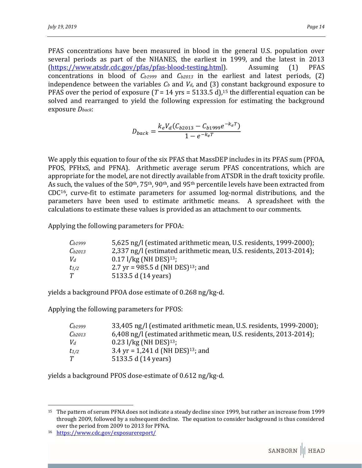PFAS concentrations have been measured in blood in the general U.S. population over several periods as part of the NHANES, the earliest in 1999, and the latest in 2013 (https://www.atsdr.cdc.gov/pfas/pfas-blood-testing.html). Assuming (1) PFAS concentrations in blood of  $C_{b1999}$  and  $C_{b2013}$  in the earliest and latest periods, (2) independence between the variables  $C_b$  and  $V_d$ , and (3) constant background exposure to PFAS over the period of exposure  $(T = 14 \text{ yrs} = 5133.5 \text{ d})$ ,<sup>15</sup> the differential equation can be solved and rearranged to yield the following expression for estimating the background exposure *Dback*: 

$$
D_{back} = \frac{k_e V_d (C_{b2013} - C_{b1999} e^{-k_e T})}{1 - e^{-k_e T}}
$$

We apply this equation to four of the six PFAS that MassDEP includes in its PFAS sum (PFOA, PFOS, PFHxS, and PFNA). Arithmetic average serum PFAS concentrations, which are appropriate for the model, are not directly available from ATSDR in the draft toxicity profile. As such, the values of the  $50th$ ,  $75th$ ,  $90th$ , and  $95th$  percentile levels have been extracted from  $CDC<sup>16</sup>$ , curve-fit to estimate parameters for assumed log-normal distributions, and the parameters have been used to estimate arithmetic means. A spreadsheet with the calculations to estimate these values is provided as an attachment to our comments.

Applying the following parameters for PFOA:

| $C_{b1999}$ | 5,625 ng/l (estimated arithmetic mean, U.S. residents, 1999-2000); |
|-------------|--------------------------------------------------------------------|
| $C_{b2013}$ | 2,337 ng/l (estimated arithmetic mean, U.S. residents, 2013-2014); |
| $V_d$       | $0.17$ $1/kg$ (NH DES) <sup>13</sup> ;                             |
| $t_{1/2}$   | 2.7 yr = 985.5 d (NH DES) <sup>13</sup> ; and                      |
| T           | 5133.5 d (14 years)                                                |

yields a background PFOA dose estimate of 0.268 ng/kg-d.

Applying the following parameters for PFOS:

| $C_{b1999}$ | 33,405 ng/l (estimated arithmetic mean, U.S. residents, 1999-2000); |
|-------------|---------------------------------------------------------------------|
| $C_{b2013}$ | 6,408 ng/l (estimated arithmetic mean, U.S. residents, 2013-2014);  |
| $V_d$       | $0.23$ l/kg (NH DES) <sup>13</sup> ;                                |
| $t_{1/2}$   | 3.4 yr = 1,241 d (NH DES) <sup>13</sup> ; and                       |
| T           | 5133.5 d (14 years)                                                 |

yields a background PFOS dose-estimate of 0.612 ng/kg-d.

 

<sup>&</sup>lt;sup>15</sup> The pattern of serum PFNA does not indicate a steady decline since 1999, but rather an increase from 1999 through 2009, followed by a subsequent decline. The equation to consider background is thus considered over the period from 2009 to 2013 for PFNA.

<sup>16</sup> https://www.cdc.gov/exposurereport/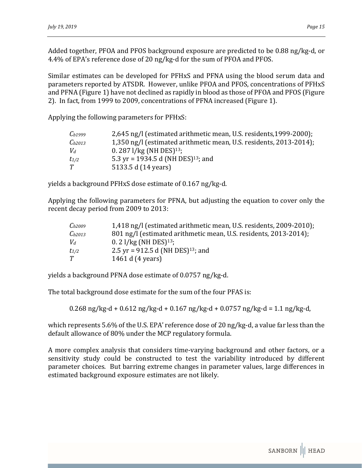Added together, PFOA and PFOS background exposure are predicted to be  $0.88 \text{ ng/kg-d}$ , or 4.4% of EPA's reference dose of 20 ng/kg-d for the sum of PFOA and PFOS.

Similar estimates can be developed for PFHxS and PFNA using the blood serum data and parameters reported by ATSDR. However, unlike PFOA and PFOS, concentrations of PFHxS and PFNA (Figure 1) have not declined as rapidly in blood as those of PFOA and PFOS (Figure 2). In fact, from 1999 to 2009, concentrations of PFNA increased (Figure 1).

Applying the following parameters for PFHxS:

| $C_{b1999}$ | 2,645 ng/l (estimated arithmetic mean, U.S. residents, 1999-2000); |
|-------------|--------------------------------------------------------------------|
| $C_{b2013}$ | 1,350 ng/l (estimated arithmetic mean, U.S. residents, 2013-2014); |
| $V_d$       | 0. 287 $1/kg$ (NH DES) <sup>13</sup> ;                             |
| $t_{1/2}$   | 5.3 yr = 1934.5 d (NH DES) <sup>13</sup> ; and                     |
| T           | 5133.5 d (14 years)                                                |

yields a background PFHxS dose estimate of 0.167 ng/kg-d.

Applying the following parameters for PFNA, but adjusting the equation to cover only the recent decay period from 2009 to 2013:

| $C_{b2009}$ | 1,418 ng/l (estimated arithmetic mean, U.S. residents, 2009-2010); |
|-------------|--------------------------------------------------------------------|
| $C_{b2013}$ | 801 ng/l (estimated arithmetic mean, U.S. residents, 2013-2014);   |
| $V_d$       | $0.2$ l/kg (NH DES) <sup>13</sup> ;                                |
| $t_{1/2}$   | 2.5 yr = 912.5 d (NH DES) <sup>13</sup> ; and                      |
| T           | 1461 d (4 years)                                                   |

yields a background PFNA dose estimate of 0.0757 ng/kg-d.

The total background dose estimate for the sum of the four PFAS is:

 $0.268$  ng/kg-d +  $0.612$  ng/kg-d +  $0.167$  ng/kg-d +  $0.0757$  ng/kg-d = 1.1 ng/kg-d,

which represents  $5.6\%$  of the U.S. EPA' reference dose of 20 ng/kg-d, a value far less than the default allowance of 80% under the MCP regulatory formula.

A more complex analysis that considers time-varying background and other factors, or a sensitivity study could be constructed to test the variability introduced by different parameter choices. But barring extreme changes in parameter values, large differences in estimated background exposure estimates are not likely.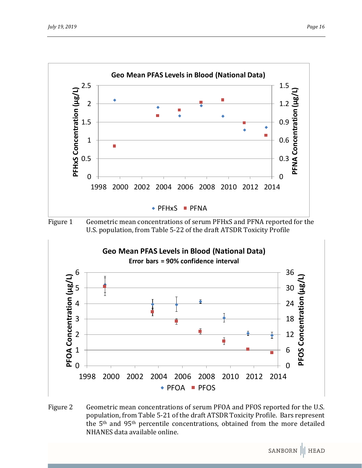

Figure 1 Geometric mean concentrations of serum PFHxS and PFNA reported for the U.S. population, from Table 5-22 of the draft ATSDR Toxicity Profile



Figure 2 Geometric mean concentrations of serum PFOA and PFOS reported for the U.S. population, from Table 5-21 of the draft ATSDR Toxicity Profile. Bars represent the  $5<sup>th</sup>$  and  $95<sup>th</sup>$  percentile concentrations, obtained from the more detailed NHANES data available online.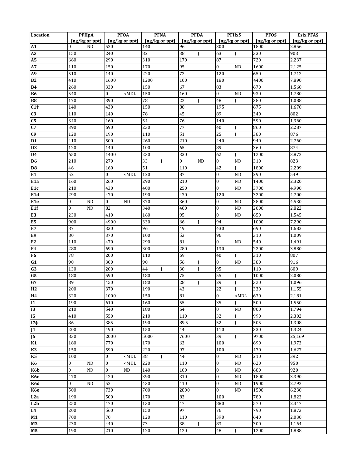| Location                         | <b>PFHpA</b>                  | <b>PFOA</b>                        | <b>PFNA</b>                  | <b>PFDA</b>                 | <b>PFHxS</b>                          | <b>PFOS</b>                  | Σsix PFAS      |
|----------------------------------|-------------------------------|------------------------------------|------------------------------|-----------------------------|---------------------------------------|------------------------------|----------------|
|                                  | $\left[\frac{ng}{kg}$ or ppt  | [ng/kg or ppt]                     | $\left[\frac{ng}{kg}$ or ppt | [ng/kg or ppt]              | [ng/kg or ppt]                        | $\left[\frac{ng}{kg}$ or ppt | [ng/kg or ppt] |
| ${\bf A1}$                       | ND<br>0                       | 520                                | 140                          | 96                          | 300                                   | 1800                         | 2,856          |
| A3                               | 150                           | 240                                | 82                           | 38<br>J                     | 63<br>$\mathbf{I}$                    | 330                          | 903            |
| <b>A5</b>                        | 660                           | 290                                | 310                          | 170                         | 87                                    | 720                          | 2,237          |
| A7                               | 110                           | 150                                | 170                          | 95                          | $\bf{0}$<br><b>ND</b>                 | 1600                         | 2,125          |
| A <sub>9</sub>                   | 510                           | 140                                | 220                          | 72                          | 120                                   | 650                          | 1,712          |
| <b>B2</b>                        | 410                           | 1600                               | 1200                         | 100                         | 180                                   | 4400                         | 7,890          |
| <b>B4</b>                        | 260                           | 330                                | 150                          | 67                          | 83                                    | 670                          | 1,560          |
| <b>B6</b>                        | 540<br>170                    | $\boldsymbol{0}$<br>$<$ MDL<br>390 | 150<br>78                    | 160                         | $\bf{0}$<br><b>ND</b><br>$\mathbf{I}$ | 930<br>380                   | 1,780          |
| ${\bf B8}$                       |                               |                                    |                              | 22<br>J                     | 48                                    |                              | 1,088<br>1,670 |
| $C1\ddagger$                     | 140                           | 430                                | 150<br>78                    | 80                          | 195<br>89                             | 675<br>340                   |                |
| C <sub>3</sub><br>C <sub>5</sub> | 110<br>340                    | 140<br>160                         | 54                           | 45<br>76                    | 140                                   | 590                          | 802<br>1,360   |
| C7                               | 390                           | 690                                | 230                          | $\overline{77}$             | 40                                    | 860                          | 2,287          |
| C9                               | 120                           | 190                                | 110                          | 51                          | 25                                    | 380                          | 876            |
| D <sub>1</sub>                   | 410                           | 500                                | 260                          | 210                         | 440                                   | 940                          | 2,760          |
| D <sub>3</sub>                   | 120                           | 140                                | 100                          | 65                          | 89                                    | 360                          | 874            |
| $\overline{D4}$                  | 650                           | 1400                               | 230                          | 330                         | 62<br>L                               | 1200                         | 3,872          |
| D <sub>6</sub>                   | 210                           | 270                                | 33<br>I                      | $\overline{0}$<br><b>ND</b> | $\bf{0}$<br><b>ND</b>                 | 310                          | 823            |
| $\overline{08}$                  | 46                            | 160                                | 51                           | 110                         | 42                                    | 1800                         | 2,209          |
| E <sub>1</sub>                   | 52                            | 0<br>$<$ MDL                       | 120                          | 87                          | $\bf{0}$<br><b>ND</b>                 | 290                          | 549            |
| E <sub>1a</sub>                  | 160                           | 260                                | 290                          | 210                         | $\bf{0}$<br><b>ND</b>                 | 1400                         | 2,320          |
| E <sub>1c</sub>                  | 210                           | 430                                | 400                          | 250                         | $\bf{0}$<br><b>ND</b>                 | 3700                         | 4,990          |
| E1d                              | 290                           | 470                                | 190                          | 430                         | 120                                   | 3200                         | 4,700          |
| E <sub>1e</sub>                  | ND<br>0                       | $\boldsymbol{0}$<br><b>ND</b>      | 370                          | 360                         | $\bf{0}$<br><b>ND</b>                 | 3800                         | 4,530          |
| E1f                              | <b>ND</b><br>0                | 82                                 | 340                          | 400                         | $\bf{0}$<br><b>ND</b>                 | 2000                         | 2,822          |
| E <sub>3</sub>                   | 230                           | 410                                | 160                          | 95                          | $\bf{0}$<br><b>ND</b>                 | 650                          | 1,545          |
| E5                               | 900                           | 4900                               | 330                          | 66<br>I                     | 94                                    | 1000                         | 7,290          |
| E7                               | 87                            | 330                                | 96                           | 49                          | 430                                   | 690                          | 1,682          |
| E9                               | 80                            | 370                                | 100                          | 53                          | 96                                    | 310                          | 1,009          |
| F2                               | 110                           | 470                                | 290                          | 81                          | $\boldsymbol{0}$<br><b>ND</b>         | 540                          | 1,491          |
| F4                               | 280                           | 690                                | 300                          | 280                         | 130                                   | 2200                         | 3,880          |
| F <sub>6</sub>                   | 78                            | 200                                | 110                          | 69                          | 40                                    | 310                          | 807            |
| G1                               | 90                            | 300                                | 90                           | 56                          | $\bf{0}$<br><b>ND</b>                 | 380                          | 916            |
| G3                               | 130                           | 200                                | 44<br>I                      | 30<br>I                     | 95                                    | 110                          | 609            |
| G5                               | 180                           | 590                                | 180                          | 75                          | 55                                    | 1000                         | 2,080          |
| G7                               | 89                            | 450                                | 180                          | 28<br>I                     | 29                                    | 320                          | 1,096          |
| H2                               | 200                           | 370                                | 190                          | 43                          | 22                                    | 330                          | 1,155          |
| <b>H4</b>                        | 320                           | 1000                               | 150                          | 81                          | $\overline{0}$<br>$<$ MDL             | 630                          | 2.181          |
| $\mathbf{I}$                     | 190                           | 610                                | 160                          | 55                          | 35<br>$\mathbf{I}$                    | 500                          | 1,550          |
| <b>I3</b>                        | 210                           | 540                                | 180                          | 64                          | $\rm ND$<br>$\bf{0}$                  | 800                          | 1,794          |
| I <sub>5</sub>                   | 410                           | 550                                | 210                          | 110                         | 32                                    | 990                          | 2,302          |
| 17 <sup>‡</sup>                  | 86                            | 385                                | 190                          | 89.5                        | 52                                    | 505                          | 1,308          |
| J <sub>4</sub>                   | 200                           | 490                                | 150                          | 44                          | 110                                   | 330                          | 1,324          |
| $\overline{J6}$                  | 830                           | 2000                               | 5000                         | 7600                        | 39<br>$\mathbf{I}$                    | 9700                         | 25,169         |
| K1                               | 180                           | 770                                | 170                          | 63                          | 100                                   | 690                          | 1,973          |
| K3                               | 150                           | 590                                | 220                          | 97                          | 100                                   | 470                          | 1,627          |
| K <sub>5</sub>                   | 100                           | $\bf{0}$<br>$<$ MDL                | 38<br>$\mathbf{I}$           | $\bf 44$                    | $\overline{0}$<br>ND                  | 210                          | 392            |
| <b>K6</b>                        | $\boldsymbol{0}$<br><b>ND</b> | $\bf{0}$<br>$<$ MDL                | 220                          | 110                         | $\bf{0}$<br><b>ND</b>                 | 620                          | 950            |
| K6b                              | $\boldsymbol{0}$<br>ND        | $\boldsymbol{0}$<br>ND             | 140                          | 100                         | $\bf{0}$<br><b>ND</b>                 | 680                          | 920            |
| К6с                              | 470                           | 420                                | 390                          | 310                         | $\bf{0}$<br>ND                        | 1800                         | 3,390          |
| K6d                              | $\mathbf{0}$<br><b>ND</b>     | $\overline{52}$                    | 430                          | 410                         | $\bf{0}$<br>ND                        | 1900                         | 2,792          |
| K6e                              | 500                           | 730                                | 700                          | 2800                        | $\bf{0}$<br>ND                        | 1500                         | 6,230          |
| L2a                              | 190                           | 500                                | $170\,$                      | 83                          | 100                                   | 780                          | 1,823          |
| L2b                              | 250                           | 470                                | 130                          | 47                          | 880                                   | 570                          | 2,347          |
| L4                               | 200                           | 560                                | 150                          | 97                          | 76                                    | 790                          | 1,873          |
| M1                               | 700                           | 70                                 | 120                          | 110                         | 390                                   | 640                          | 2,030          |
| M3                               | 230                           | 440                                | 73                           | 38<br>I                     | 83                                    | 300                          | 1,164          |
| M5                               | 190                           | 210                                | 120                          | 120                         | 48                                    | 1200                         | 1,888          |
|                                  |                               |                                    |                              |                             |                                       |                              |                |